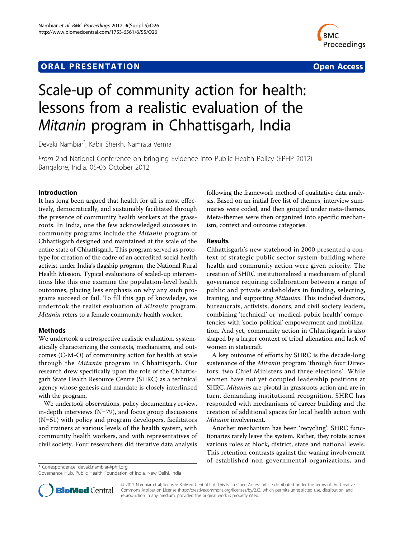## **ORAL PRESENTATION CONSUMING A RESENTATION**



# Scale-up of community action for health: lessons from a realistic evaluation of the Mitanin program in Chhattisgarh, India

Devaki Nambiar\* , Kabir Sheikh, Namrata Verma

From 2nd National Conference on bringing Evidence into Public Health Policy (EPHP 2012) Bangalore, India. 05-06 October 2012

### Introduction

It has long been argued that health for all is most effectively, democratically, and sustainably facilitated through the presence of community health workers at the grassroots. In India, one the few acknowledged successes in community programs include the Mitanin program of Chhattisgarh designed and maintained at the scale of the entire state of Chhattisgarh. This program served as prototype for creation of the cadre of an accredited social health activist under India's flagship program, the National Rural Health Mission. Typical evaluations of scaled-up interventions like this one examine the population-level health outcomes, placing less emphasis on why any such programs succeed or fail. To fill this gap of knowledge, we undertook the realist evaluation of Mitanin program. Mitanin refers to a female community health worker.

## Methods

We undertook a retrospective realistic evaluation, systematically characterizing the contexts, mechanisms, and outcomes (C-M-O) of community action for health at scale through the Mitanin program in Chhattisgarh. Our research drew specifically upon the role of the Chhattisgarh State Health Resource Centre (SHRC) as a technical agency whose genesis and mandate is closely interlinked with the program.

We undertook observations, policy documentary review, in-depth interviews (N=79), and focus group discussions (N=51) with policy and program developers, facilitators and trainers at various levels of the health system, with community health workers, and with representatives of civil society. Four researchers did iterative data analysis

\* Correspondence: [devaki.nambiar@phfi.org](mailto:devaki.nambiar@phfi.org)

Governance Hub, Public Health Foundation of India, New Delhi, India

following the framework method of qualitative data analysis. Based on an initial free list of themes, interview summaries were coded, and then grouped under meta-themes. Meta-themes were then organized into specific mechanism, context and outcome categories.

#### Results

Chhattisgarh's new statehood in 2000 presented a context of strategic public sector system-building where health and community action were given priority. The creation of SHRC institutionalized a mechanism of plural governance requiring collaboration between a range of public and private stakeholders in funding, selecting, training, and supporting Mitanins. This included doctors, bureaucrats, activists, donors, and civil society leaders, combining 'technical' or 'medical-public health' competencies with 'socio-political' empowerment and mobilization. And yet, community action in Chhattisgarh is also shaped by a larger context of tribal alienation and lack of women in statecraft.

A key outcome of efforts by SHRC is the decade-long sustenance of the Mitanin program 'through four Directors, two Chief Ministers and three elections'. While women have not yet occupied leadership positions at SHRC, Mitanins are pivotal in grassroots action and are in turn, demanding institutional recognition. SHRC has responded with mechanisms of career building and the creation of additional spaces for local health action with Mitanin involvement.

Another mechanism has been 'recycling'. SHRC functionaries rarely leave the system. Rather, they rotate across various roles at block, district, state and national levels. This retention contrasts against the waning involvement of established non-governmental organizations, and



© 2012 Nambiar et al; licensee BioMed Central Ltd. This is an Open Access article distributed under the terms of the Creative Commons Attribution License [\(http://creativecommons.org/licenses/by/2.0](http://creativecommons.org/licenses/by/2.0)), which permits unrestricted use, distribution, and reproduction in any medium, provided the original work is properly cited.